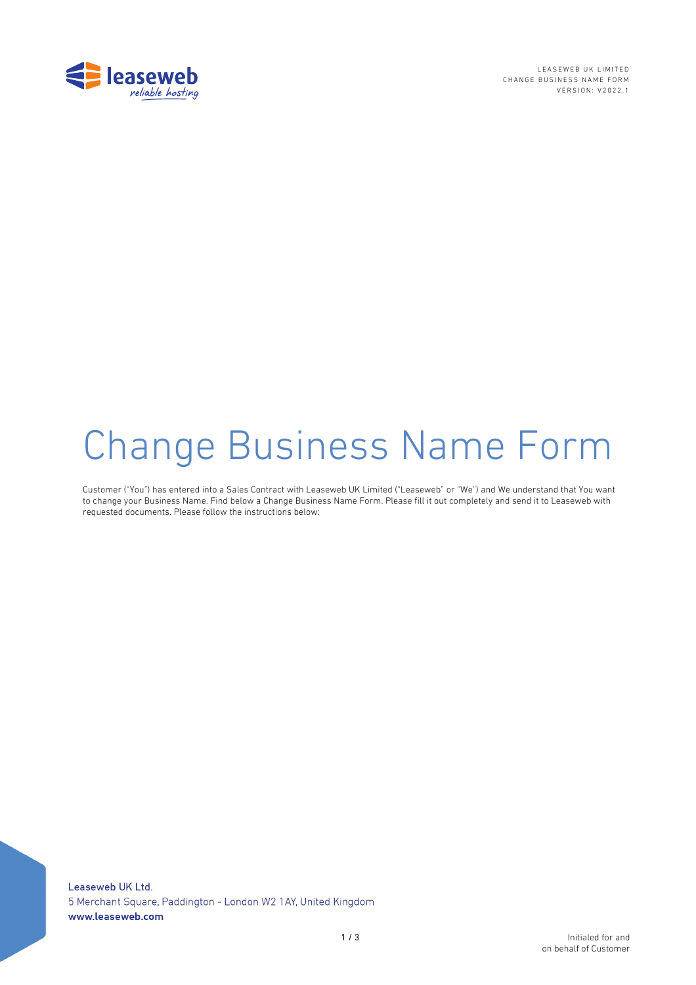

LEASEWEB UK LIMITED CHANGE BUSINESS NAME FORM VERSION: V202 2 . 1

# Change Business Name Form

Customer ("You") has entered into a Sales Contract with Leaseweb UK Limited ("Leaseweb" or "We") and We understand that You want to change your Business Name. Find below a Change Business Name Form. Please fill it out completely and send it to Leaseweb with requested documents. Please follow the instructions below: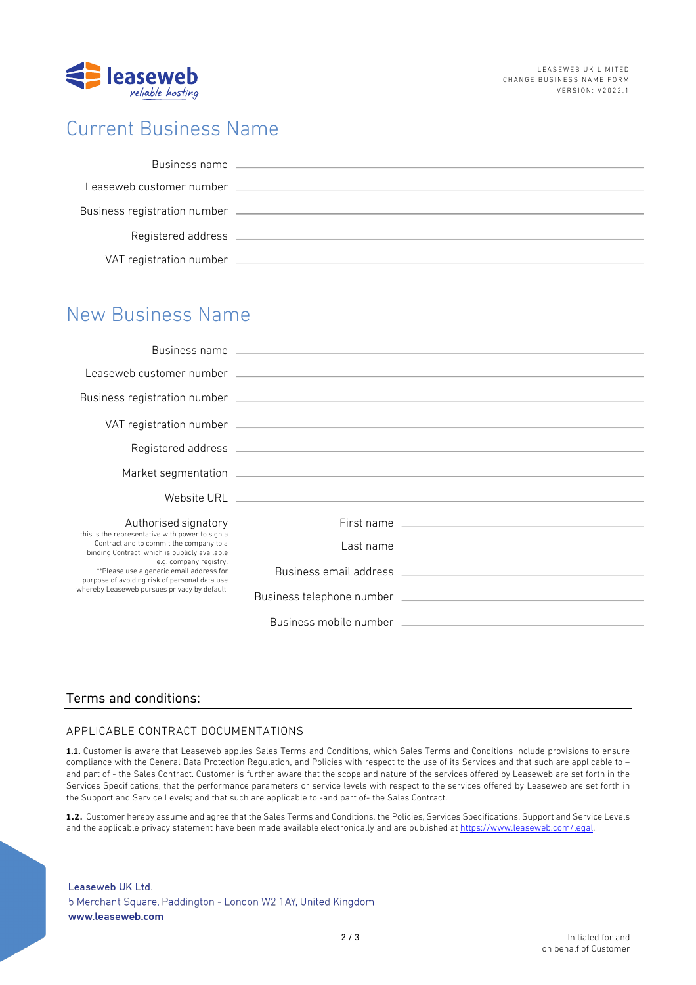

# Current Business Name

| Business name                |  |
|------------------------------|--|
| Leaseweb customer number     |  |
| Business registration number |  |
| Registered address           |  |
| VAT registration number      |  |

## New Business Name

|                                                                                                                                                                                                                                                                                                                    | Business name and the contract of the contract of the contract of the contract of the contract of the contract of the contract of the contract of the contract of the contract of the contract of the contract of the contract |                                                                                                                                                                                                                                |
|--------------------------------------------------------------------------------------------------------------------------------------------------------------------------------------------------------------------------------------------------------------------------------------------------------------------|--------------------------------------------------------------------------------------------------------------------------------------------------------------------------------------------------------------------------------|--------------------------------------------------------------------------------------------------------------------------------------------------------------------------------------------------------------------------------|
|                                                                                                                                                                                                                                                                                                                    |                                                                                                                                                                                                                                | Leaseweb customer number (2002) 2003 and 2004 and 2004 and 2004 and 2004 and 2004 and 2004 and 2004 and 2004 and 2004 and 2004 and 2004 and 2004 and 2004 and 2004 and 2004 and 2004 and 2004 and 2004 and 2004 and 2004 and 2 |
|                                                                                                                                                                                                                                                                                                                    |                                                                                                                                                                                                                                |                                                                                                                                                                                                                                |
|                                                                                                                                                                                                                                                                                                                    |                                                                                                                                                                                                                                |                                                                                                                                                                                                                                |
|                                                                                                                                                                                                                                                                                                                    |                                                                                                                                                                                                                                |                                                                                                                                                                                                                                |
|                                                                                                                                                                                                                                                                                                                    |                                                                                                                                                                                                                                |                                                                                                                                                                                                                                |
|                                                                                                                                                                                                                                                                                                                    |                                                                                                                                                                                                                                |                                                                                                                                                                                                                                |
| Authorised signatory                                                                                                                                                                                                                                                                                               |                                                                                                                                                                                                                                |                                                                                                                                                                                                                                |
| this is the representative with power to sign a<br>Contract and to commit the company to a<br>binding Contract, which is publicly available<br>e.g. company registry.<br>**Please use a generic email address for<br>purpose of avoiding risk of personal data use<br>whereby Leaseweb pursues privacy by default. |                                                                                                                                                                                                                                | Last name entirely and the state of the state of the state of the state of the state of the state of the state of the state of the state of the state of the state of the state of the state of the state of the state of the  |
|                                                                                                                                                                                                                                                                                                                    |                                                                                                                                                                                                                                | Business email address and the control of the control of the control of the control of the control of the control of the control of the control of the control of the control of the control of the control of the control of  |
|                                                                                                                                                                                                                                                                                                                    |                                                                                                                                                                                                                                |                                                                                                                                                                                                                                |
|                                                                                                                                                                                                                                                                                                                    |                                                                                                                                                                                                                                | Business mobile number that the control of the control of the control of the control of the control of the control of the control of the control of the control of the control of the control of the control of the control of |

## Terms and conditions:

#### APPLICABLE CONTRACT DOCUMENTATIONS

**1.1.** Customer is aware that Leaseweb applies Sales Terms and Conditions, which Sales Terms and Conditions include provisions to ensure compliance with the General Data Protection Regulation, and Policies with respect to the use of its Services and that such are applicable to – and part of - the Sales Contract. Customer is further aware that the scope and nature of the services offered by Leaseweb are set forth in the Services Specifications, that the performance parameters or service levels with respect to the services offered by Leaseweb are set forth in the Support and Service Levels; and that such are applicable to -and part of- the Sales Contract.

**1.2.** Customer hereby assume and agree that the Sales Terms and Conditions, the Policies, Services Specifications, Support and Service Levels and the applicable privacy statement have been made available electronically and are published at https://www.leaseweb.com/legal.

### Leaseweb UK Ltd. 5 Merchant Square, Paddington - London W2 1AY, United Kingdom www.leaseweb.com